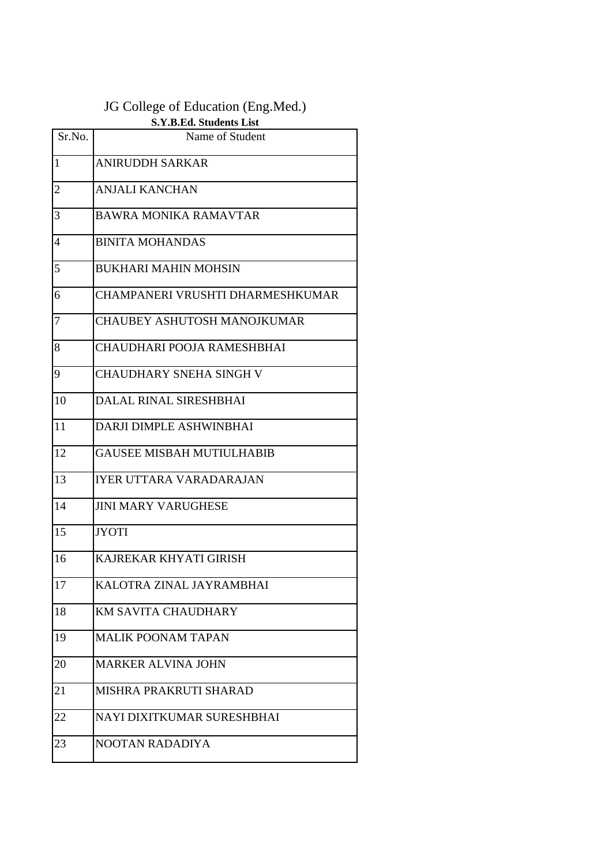## JG College of Education (Eng.Med.)

| S.Y.B.Ed. Students List |                                  |  |
|-------------------------|----------------------------------|--|
| Sr.No.                  | Name of Student                  |  |
| 1                       | <b>ANIRUDDH SARKAR</b>           |  |
| $\overline{2}$          | <b>ANJALI KANCHAN</b>            |  |
| 3                       | BAWRA MONIKA RAMAVTAR            |  |
| 4                       | <b>BINITA MOHANDAS</b>           |  |
| 5                       | <b>BUKHARI MAHIN MOHSIN</b>      |  |
| 6                       | CHAMPANERI VRUSHTI DHARMESHKUMAR |  |
| 7                       | CHAUBEY ASHUTOSH MANOJKUMAR      |  |
| 8                       | CHAUDHARI POOJA RAMESHBHAI       |  |
| 9                       | <b>CHAUDHARY SNEHA SINGH V</b>   |  |
| 10                      | DALAL RINAL SIRESHBHAI           |  |
| 11                      | DARJI DIMPLE ASHWINBHAI          |  |
| 12                      | <b>GAUSEE MISBAH MUTIULHABIB</b> |  |
| 13                      | IYER UTTARA VARADARAJAN          |  |
| 14                      | <b>JINI MARY VARUGHESE</b>       |  |
| 15                      | <b>JYOTI</b>                     |  |
| 16                      | KAJREKAR KHYATI GIRISH           |  |
| 17                      | KALOTRA ZINAL JAYRAMBHAI         |  |
| 18                      | <b>KM SAVITA CHAUDHARY</b>       |  |
| 19                      | <b>MALIK POONAM TAPAN</b>        |  |
| 20                      | <b>MARKER ALVINA JOHN</b>        |  |
| 21                      | MISHRA PRAKRUTI SHARAD           |  |
| 22                      | NAYI DIXITKUMAR SURESHBHAI       |  |
| 23                      | NOOTAN RADADIYA                  |  |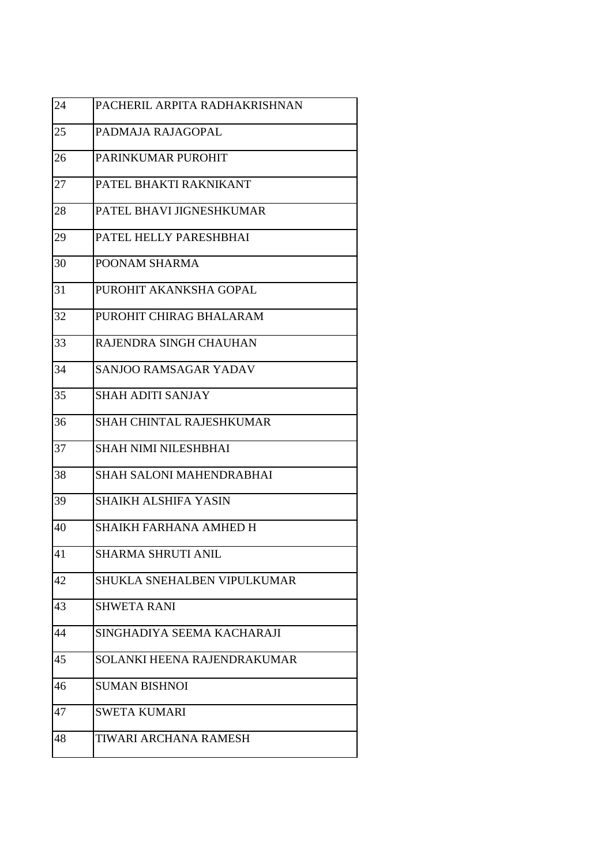| 24 | PACHERIL ARPITA RADHAKRISHNAN |
|----|-------------------------------|
| 25 | PADMAJA RAJAGOPAL             |
| 26 | PARINKUMAR PUROHIT            |
| 27 | PATEL BHAKTI RAKNIKANT        |
| 28 | PATEL BHAVI JIGNESHKUMAR      |
| 29 | PATEL HELLY PARESHBHAI        |
| 30 | POONAM SHARMA                 |
| 31 | PUROHIT AKANKSHA GOPAL        |
| 32 | PUROHIT CHIRAG BHALARAM       |
| 33 | RAJENDRA SINGH CHAUHAN        |
| 34 | <b>SANJOO RAMSAGAR YADAV</b>  |
| 35 | <b>SHAH ADITI SANJAY</b>      |
| 36 | SHAH CHINTAL RAJESHKUMAR      |
| 37 | SHAH NIMI NILESHBHAI          |
| 38 | SHAH SALONI MAHENDRABHAI      |
| 39 | <b>SHAIKH ALSHIFA YASIN</b>   |
| 40 | SHAIKH FARHANA AMHED H        |
| 41 | SHARMA SHRUTI ANIL            |
| 42 | SHUKLA SNEHALBEN VIPULKUMAR   |
| 43 | SHWETA RANI                   |
| 44 | SINGHADIYA SEEMA KACHARAJI    |
| 45 | SOLANKI HEENA RAJENDRAKUMAR   |
| 46 | <b>SUMAN BISHNOI</b>          |
| 47 | <b>SWETA KUMARI</b>           |
| 48 | TIWARI ARCHANA RAMESH         |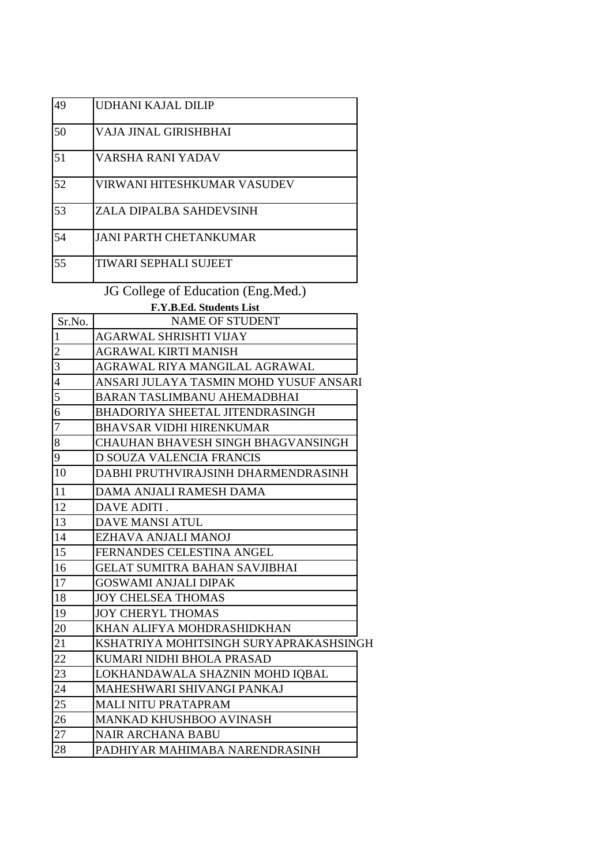| 49 | UDHANI KAJAL DILIP            |  |
|----|-------------------------------|--|
| 50 | VAJA JINAL GIRISHBHAI         |  |
| 51 | VARSHA RANI YADAV             |  |
| 52 | VIRWANI HITESHKUMAR VASUDEV   |  |
| 53 | ZALA DIPALBA SAHDEVSINH       |  |
| 54 | <b>JANI PARTH CHETANKUMAR</b> |  |
| 55 | <b>TIWARI SEPHALI SUJEET</b>  |  |
|    |                               |  |

JG College of Education (Eng.Med.)

|                | F.Y.B.Ed. Students List                   |  |
|----------------|-------------------------------------------|--|
| Sr.No.         | <b>NAME OF STUDENT</b>                    |  |
| $\mathbf{1}$   | <b>AGARWAL SHRISHTI VIJAY</b>             |  |
| $\overline{c}$ | AGRAWAL KIRTI MANISH                      |  |
| 3              | AGRAWAL RIYA MANGILAL AGRAWAL             |  |
| $\overline{4}$ | ANSARI JULAYA TASMIN MOHD YUSUF ANSARI    |  |
| 5              | <b>BARAN TASLIMBANU AHEMADBHAI</b>        |  |
| 6              | BHADORIYA SHEETAL JITENDRASINGH           |  |
| $\overline{7}$ | <b>BHAVSAR VIDHI HIRENKUMAR</b>           |  |
| 8              | <b>CHAUHAN BHAVESH SINGH BHAGVANSINGH</b> |  |
| 9              | D SOUZA VALENCIA FRANCIS                  |  |
| 10             | DABHI PRUTHVIRAJSINH DHARMENDRASINH       |  |
| 11             | DAMA ANJALI RAMESH DAMA                   |  |
| 12             | DAVE ADITI.                               |  |
| 13             | <b>DAVE MANSI ATUL</b>                    |  |
| 14             | EZHAVA ANJALI MANOJ                       |  |
| 15             | FERNANDES CELESTINA ANGEL                 |  |
| 16             | <b>GELAT SUMITRA BAHAN SAVJIBHAI</b>      |  |
| 17             | <b>GOSWAMI ANJALI DIPAK</b>               |  |
| 18             | <b>JOY CHELSEA THOMAS</b>                 |  |
| 19             | <b>JOY CHERYL THOMAS</b>                  |  |
| 20             | KHAN ALIFYA MOHDRASHIDKHAN                |  |
| 21             | KSHATRIYA MOHITSINGH SURYAPRAKASHSINGH    |  |
| 22             | KUMARI NIDHI BHOLA PRASAD                 |  |
| 23             | LOKHANDAWALA SHAZNIN MOHD IQBAL           |  |
| 24             | MAHESHWARI SHIVANGI PANKAJ                |  |
| 25             | <b>MALI NITU PRATAPRAM</b>                |  |
| 26             | MANKAD KHUSHBOO AVINASH                   |  |
| 27             | <b>NAIR ARCHANA BABU</b>                  |  |
| 28             | PADHIYAR MAHIMABA NARENDRASINH            |  |